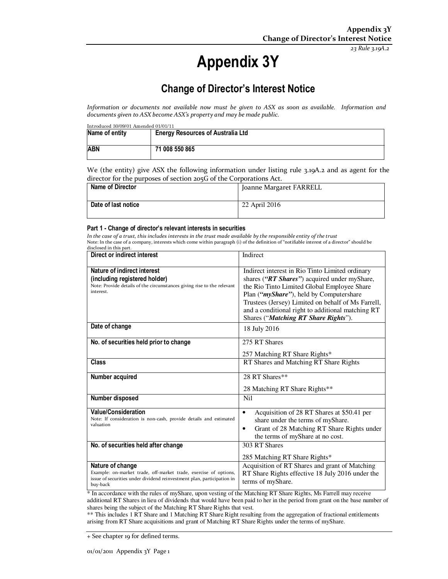*23 Rule 3.19A.2*

# **Appendix 3Y**

# **Change of Director's Interest Notice**

*Information or documents not available now must be given to ASX as soon as available. Information and documents given to ASX become ASX's property and may be made public.* 

| Introduced 30/09/01 Amended 01/01/11 |                                          |  |
|--------------------------------------|------------------------------------------|--|
| Name of entity                       | <b>Energy Resources of Australia Ltd</b> |  |
|                                      |                                          |  |
|                                      |                                          |  |
| <b>ABN</b>                           | 71 008 550 865                           |  |
|                                      |                                          |  |

We (the entity) give ASX the following information under listing rule 3.19A.2 and as agent for the director for the purposes of section 205G of the Corporations Act.

| Name of Director    | Joanne Margaret FARRELL |
|---------------------|-------------------------|
| Date of last notice | 22 April 2016           |

#### **Part 1 - Change of director's relevant interests in securities**

In the case of a trust, this includes interests in the trust made available by the responsible entity of the trust Note: In the case of a company, interests which come within paragraph (i) of the definition of "notifiable interest of a director" should be disclosed in this part.

| Direct or indirect interest                                                         | Indirect                                                |
|-------------------------------------------------------------------------------------|---------------------------------------------------------|
|                                                                                     |                                                         |
| Nature of indirect interest                                                         | Indirect interest in Rio Tinto Limited ordinary         |
| (including registered holder)                                                       | shares ("RT Shares") acquired under myShare,            |
| Note: Provide details of the circumstances giving rise to the relevant<br>interest. | the Rio Tinto Limited Global Employee Share             |
|                                                                                     | Plan ("myShare"), held by Computershare                 |
|                                                                                     | Trustees (Jersey) Limited on behalf of Ms Farrell,      |
|                                                                                     | and a conditional right to additional matching RT       |
|                                                                                     | Shares ("Matching RT Share Rights").                    |
| Date of change                                                                      | 18 July 2016                                            |
|                                                                                     |                                                         |
| No. of securities held prior to change                                              | 275 RT Shares                                           |
|                                                                                     | 257 Matching RT Share Rights*                           |
| Class                                                                               | RT Shares and Matching RT Share Rights                  |
| Number acquired                                                                     | 28 RT Shares**                                          |
|                                                                                     |                                                         |
|                                                                                     | 28 Matching RT Share Rights**                           |
| Number disposed                                                                     | Nil                                                     |
| <b>Value/Consideration</b>                                                          | $\bullet$                                               |
| Note: If consideration is non-cash, provide details and estimated                   | Acquisition of 28 RT Shares at \$50.41 per              |
| valuation                                                                           | share under the terms of myShare.                       |
|                                                                                     | Grant of 28 Matching RT Share Rights under<br>$\bullet$ |
|                                                                                     | the terms of myShare at no cost.                        |
| No. of securities held after change                                                 | 303 RT Shares                                           |
|                                                                                     | 285 Matching RT Share Rights*                           |
| Nature of change                                                                    | Acquisition of RT Shares and grant of Matching          |
| Example: on-market trade, off-market trade, exercise of options,                    | RT Share Rights effective 18 July 2016 under the        |
| issue of securities under dividend reinvestment plan, participation in<br>buy-back  | terms of myShare.                                       |

\* In accordance with the rules of myShare, upon vesting of the Matching RT Share Rights, Ms Farrell may receive additional RT Shares in lieu of dividends that would have been paid to her in the period from grant on the base number of shares being the subject of the Matching RT Share Rights that vest.

\*\* This includes 1 RT Share and 1 Matching RT Share Right resulting from the aggregation of fractional entitlements arising from RT Share acquisitions and grant of Matching RT Share Rights under the terms of myShare.

<sup>+</sup> See chapter 19 for defined terms.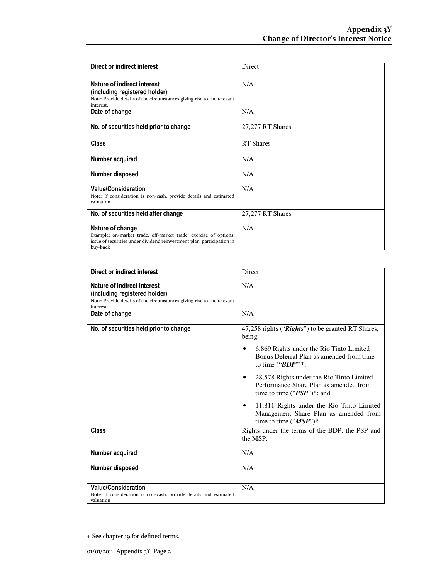| Direct or indirect interest                                                                                                                                                | Direct           |
|----------------------------------------------------------------------------------------------------------------------------------------------------------------------------|------------------|
| Nature of indirect interest<br>(including registered holder)<br>Note: Provide details of the circumstances giving rise to the relevant<br>interest.                        | N/A              |
| Date of change                                                                                                                                                             | N/A              |
| No. of securities held prior to change                                                                                                                                     | 27,277 RT Shares |
| Class                                                                                                                                                                      | <b>RT</b> Shares |
| Number acquired                                                                                                                                                            | N/A              |
| Number disposed                                                                                                                                                            | N/A              |
| <b>Value/Consideration</b><br>Note: If consideration is non-cash, provide details and estimated<br>valuation                                                               | N/A              |
| No. of securities held after change                                                                                                                                        | 27,277 RT Shares |
| Nature of change<br>Example: on-market trade, off-market trade, exercise of options,<br>issue of securities under dividend reinvestment plan, participation in<br>buy-back | N/A              |

| Direct or indirect interest                                                                                                                         | Direct                                                                                                                                                                                                                                                                                                                                                                                                                                                    |  |
|-----------------------------------------------------------------------------------------------------------------------------------------------------|-----------------------------------------------------------------------------------------------------------------------------------------------------------------------------------------------------------------------------------------------------------------------------------------------------------------------------------------------------------------------------------------------------------------------------------------------------------|--|
| Nature of indirect interest<br>(including registered holder)<br>Note: Provide details of the circumstances giving rise to the relevant<br>interest. | N/A                                                                                                                                                                                                                                                                                                                                                                                                                                                       |  |
| Date of change                                                                                                                                      | N/A                                                                                                                                                                                                                                                                                                                                                                                                                                                       |  |
| No. of securities held prior to change                                                                                                              | 47,258 rights (" <b>Rights</b> ") to be granted RT Shares,<br>being:<br>6,869 Rights under the Rio Tinto Limited<br>$\bullet$<br>Bonus Deferral Plan as amended from time<br>to time (" $BDP$ ")*;<br>28,578 Rights under the Rio Tinto Limited<br>٠<br>Performance Share Plan as amended from<br>time to time (" $PSP$ ")*; and<br>11,811 Rights under the Rio Tinto Limited<br>٠<br>Management Share Plan as amended from<br>time to time $("MSP")^*$ . |  |
| Class                                                                                                                                               | Rights under the terms of the BDP, the PSP and<br>the MSP.                                                                                                                                                                                                                                                                                                                                                                                                |  |
| Number acquired                                                                                                                                     | N/A                                                                                                                                                                                                                                                                                                                                                                                                                                                       |  |
| Number disposed                                                                                                                                     | N/A                                                                                                                                                                                                                                                                                                                                                                                                                                                       |  |
| <b>Value/Consideration</b><br>Note: If consideration is non-cash, provide details and estimated<br>valuation                                        | N/A                                                                                                                                                                                                                                                                                                                                                                                                                                                       |  |

<sup>+</sup> See chapter 19 for defined terms.